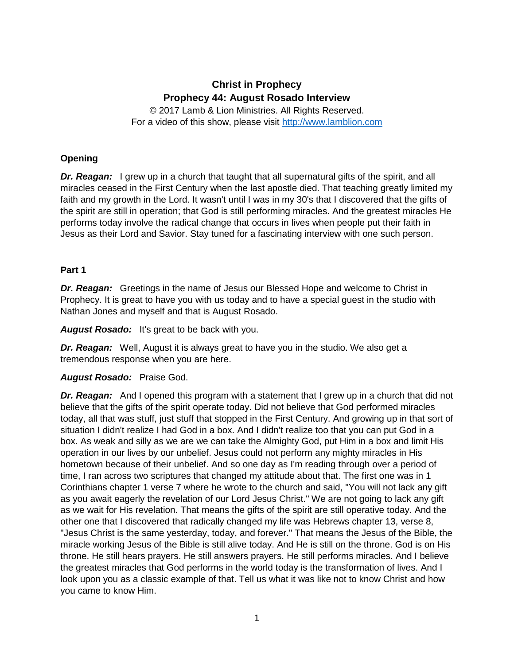# **Christ in Prophecy Prophecy 44: August Rosado Interview**

© 2017 Lamb & Lion Ministries. All Rights Reserved. For a video of this show, please visit [http://www.lamblion.com](http://www.lamblion.com/)

## **Opening**

**Dr. Reagan:** I grew up in a church that taught that all supernatural gifts of the spirit, and all miracles ceased in the First Century when the last apostle died. That teaching greatly limited my faith and my growth in the Lord. It wasn't until I was in my 30's that I discovered that the gifts of the spirit are still in operation; that God is still performing miracles. And the greatest miracles He performs today involve the radical change that occurs in lives when people put their faith in Jesus as their Lord and Savior. Stay tuned for a fascinating interview with one such person.

#### **Part 1**

*Dr. Reagan:* Greetings in the name of Jesus our Blessed Hope and welcome to Christ in Prophecy. It is great to have you with us today and to have a special guest in the studio with Nathan Jones and myself and that is August Rosado.

*August Rosado:* It's great to be back with you.

*Dr. Reagan:* Well, August it is always great to have you in the studio. We also get a tremendous response when you are here.

## *August Rosado:* Praise God.

*Dr. Reagan:* And I opened this program with a statement that I grew up in a church that did not believe that the gifts of the spirit operate today. Did not believe that God performed miracles today, all that was stuff, just stuff that stopped in the First Century. And growing up in that sort of situation I didn't realize I had God in a box. And I didn't realize too that you can put God in a box. As weak and silly as we are we can take the Almighty God, put Him in a box and limit His operation in our lives by our unbelief. Jesus could not perform any mighty miracles in His hometown because of their unbelief. And so one day as I'm reading through over a period of time, I ran across two scriptures that changed my attitude about that. The first one was in 1 Corinthians chapter 1 verse 7 where he wrote to the church and said, "You will not lack any gift as you await eagerly the revelation of our Lord Jesus Christ." We are not going to lack any gift as we wait for His revelation. That means the gifts of the spirit are still operative today. And the other one that I discovered that radically changed my life was Hebrews chapter 13, verse 8, "Jesus Christ is the same yesterday, today, and forever." That means the Jesus of the Bible, the miracle working Jesus of the Bible is still alive today. And He is still on the throne. God is on His throne. He still hears prayers. He still answers prayers. He still performs miracles. And I believe the greatest miracles that God performs in the world today is the transformation of lives. And I look upon you as a classic example of that. Tell us what it was like not to know Christ and how you came to know Him.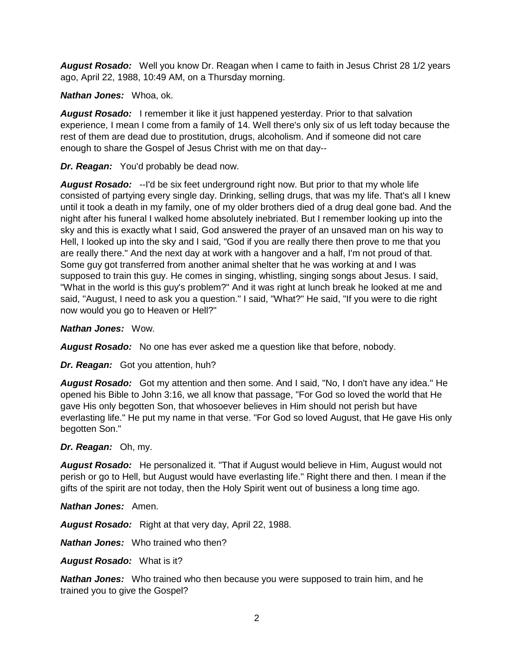*August Rosado:* Well you know Dr. Reagan when I came to faith in Jesus Christ 28 1/2 years ago, April 22, 1988, 10:49 AM, on a Thursday morning.

## *Nathan Jones:* Whoa, ok.

*August Rosado:* I remember it like it just happened yesterday. Prior to that salvation experience, I mean I come from a family of 14. Well there's only six of us left today because the rest of them are dead due to prostitution, drugs, alcoholism. And if someone did not care enough to share the Gospel of Jesus Christ with me on that day--

*Dr. Reagan:* You'd probably be dead now.

*August Rosado:* --I'd be six feet underground right now. But prior to that my whole life consisted of partying every single day. Drinking, selling drugs, that was my life. That's all I knew until it took a death in my family, one of my older brothers died of a drug deal gone bad. And the night after his funeral I walked home absolutely inebriated. But I remember looking up into the sky and this is exactly what I said, God answered the prayer of an unsaved man on his way to Hell, I looked up into the sky and I said, "God if you are really there then prove to me that you are really there." And the next day at work with a hangover and a half, I'm not proud of that. Some guy got transferred from another animal shelter that he was working at and I was supposed to train this guy. He comes in singing, whistling, singing songs about Jesus. I said, "What in the world is this guy's problem?" And it was right at lunch break he looked at me and said, "August, I need to ask you a question." I said, "What?" He said, "If you were to die right now would you go to Heaven or Hell?"

#### *Nathan Jones:* Wow.

*August Rosado:* No one has ever asked me a question like that before, nobody.

*Dr. Reagan:* Got you attention, huh?

*August Rosado:* Got my attention and then some. And I said, "No, I don't have any idea." He opened his Bible to John 3:16, we all know that passage, "For God so loved the world that He gave His only begotten Son, that whosoever believes in Him should not perish but have everlasting life." He put my name in that verse. "For God so loved August, that He gave His only begotten Son."

## *Dr. Reagan:* Oh, my.

*August Rosado:* He personalized it. "That if August would believe in Him, August would not perish or go to Hell, but August would have everlasting life." Right there and then. I mean if the gifts of the spirit are not today, then the Holy Spirit went out of business a long time ago.

*Nathan Jones:* Amen.

*August Rosado:* Right at that very day, April 22, 1988.

*Nathan Jones:* Who trained who then?

*August Rosado:* What is it?

*Nathan Jones:* Who trained who then because you were supposed to train him, and he trained you to give the Gospel?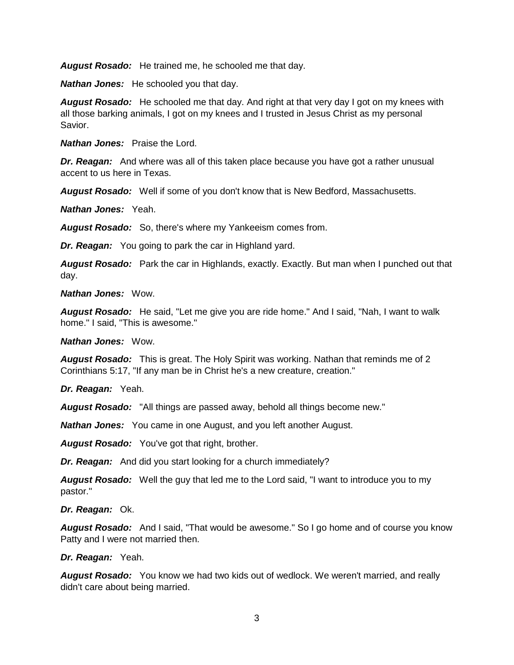*August Rosado:* He trained me, he schooled me that day.

*Nathan Jones:* He schooled you that day.

*August Rosado:* He schooled me that day. And right at that very day I got on my knees with all those barking animals, I got on my knees and I trusted in Jesus Christ as my personal Savior.

*Nathan Jones:* Praise the Lord.

*Dr. Reagan:* And where was all of this taken place because you have got a rather unusual accent to us here in Texas.

*August Rosado:* Well if some of you don't know that is New Bedford, Massachusetts.

*Nathan Jones:* Yeah.

*August Rosado:* So, there's where my Yankeeism comes from.

*Dr. Reagan:* You going to park the car in Highland yard.

*August Rosado:* Park the car in Highlands, exactly. Exactly. But man when I punched out that day.

*Nathan Jones:* Wow.

*August Rosado:* He said, "Let me give you are ride home." And I said, "Nah, I want to walk home." I said, "This is awesome."

*Nathan Jones:* Wow.

*August Rosado:* This is great. The Holy Spirit was working. Nathan that reminds me of 2 Corinthians 5:17, "If any man be in Christ he's a new creature, creation."

*Dr. Reagan:* Yeah.

*August Rosado:* "All things are passed away, behold all things become new."

*Nathan Jones:* You came in one August, and you left another August.

*August Rosado:* You've got that right, brother.

*Dr. Reagan:* And did you start looking for a church immediately?

*August Rosado:* Well the guy that led me to the Lord said, "I want to introduce you to my pastor."

*Dr. Reagan:* Ok.

*August Rosado:* And I said, "That would be awesome." So I go home and of course you know Patty and I were not married then.

*Dr. Reagan:* Yeah.

*August Rosado:* You know we had two kids out of wedlock. We weren't married, and really didn't care about being married.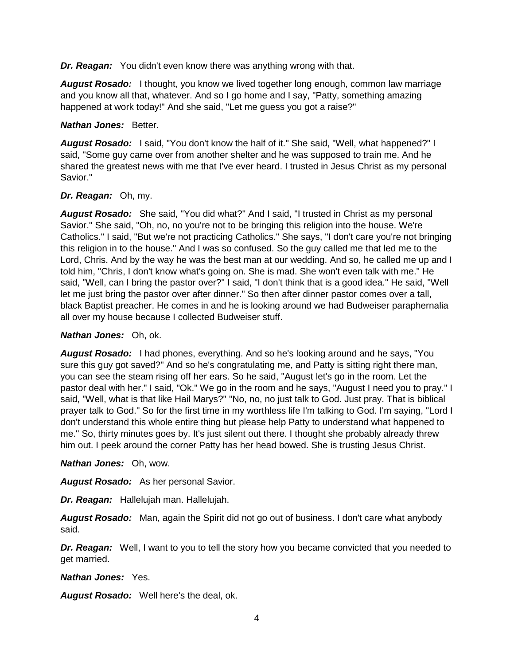*Dr. Reagan:* You didn't even know there was anything wrong with that.

*August Rosado:* I thought, you know we lived together long enough, common law marriage and you know all that, whatever. And so I go home and I say, "Patty, something amazing happened at work today!" And she said, "Let me guess you got a raise?"

## *Nathan Jones:* Better.

*August Rosado:* I said, "You don't know the half of it." She said, "Well, what happened?" I said, "Some guy came over from another shelter and he was supposed to train me. And he shared the greatest news with me that I've ever heard. I trusted in Jesus Christ as my personal Savior."

## *Dr. Reagan:* Oh, my.

*August Rosado:* She said, "You did what?" And I said, "I trusted in Christ as my personal Savior." She said, "Oh, no, no you're not to be bringing this religion into the house. We're Catholics." I said, "But we're not practicing Catholics." She says, "I don't care you're not bringing this religion in to the house." And I was so confused. So the guy called me that led me to the Lord, Chris. And by the way he was the best man at our wedding. And so, he called me up and I told him, "Chris, I don't know what's going on. She is mad. She won't even talk with me." He said, "Well, can I bring the pastor over?" I said, "I don't think that is a good idea." He said, "Well let me just bring the pastor over after dinner." So then after dinner pastor comes over a tall, black Baptist preacher. He comes in and he is looking around we had Budweiser paraphernalia all over my house because I collected Budweiser stuff.

## *Nathan Jones:* Oh, ok.

*August Rosado:* I had phones, everything. And so he's looking around and he says, "You sure this guy got saved?" And so he's congratulating me, and Patty is sitting right there man, you can see the steam rising off her ears. So he said, "August let's go in the room. Let the pastor deal with her." I said, "Ok." We go in the room and he says, "August I need you to pray." I said, "Well, what is that like Hail Marys?" "No, no, no just talk to God. Just pray. That is biblical prayer talk to God." So for the first time in my worthless life I'm talking to God. I'm saying, "Lord I don't understand this whole entire thing but please help Patty to understand what happened to me." So, thirty minutes goes by. It's just silent out there. I thought she probably already threw him out. I peek around the corner Patty has her head bowed. She is trusting Jesus Christ.

## *Nathan Jones:* Oh, wow.

*August Rosado:* As her personal Savior.

*Dr. Reagan:* Hallelujah man. Hallelujah.

*August Rosado:* Man, again the Spirit did not go out of business. I don't care what anybody said.

*Dr. Reagan:* Well, I want to you to tell the story how you became convicted that you needed to get married.

#### *Nathan Jones:* Yes.

*August Rosado:* Well here's the deal, ok.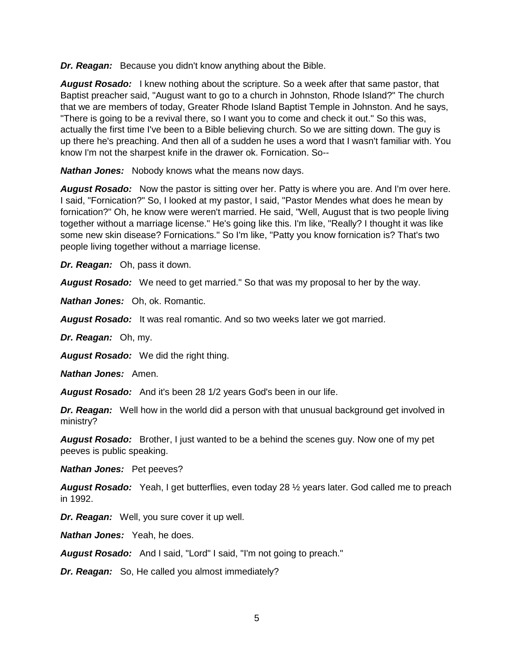*Dr. Reagan:* Because you didn't know anything about the Bible.

*August Rosado:* I knew nothing about the scripture. So a week after that same pastor, that Baptist preacher said, "August want to go to a church in Johnston, Rhode Island?" The church that we are members of today, Greater Rhode Island Baptist Temple in Johnston. And he says, "There is going to be a revival there, so I want you to come and check it out." So this was, actually the first time I've been to a Bible believing church. So we are sitting down. The guy is up there he's preaching. And then all of a sudden he uses a word that I wasn't familiar with. You know I'm not the sharpest knife in the drawer ok. Fornication. So--

*Nathan Jones:* Nobody knows what the means now days.

*August Rosado:* Now the pastor is sitting over her. Patty is where you are. And I'm over here. I said, "Fornication?" So, I looked at my pastor, I said, "Pastor Mendes what does he mean by fornication?" Oh, he know were weren't married. He said, "Well, August that is two people living together without a marriage license." He's going like this. I'm like, "Really? I thought it was like some new skin disease? Fornications." So I'm like, "Patty you know fornication is? That's two people living together without a marriage license.

*Dr. Reagan:* Oh, pass it down.

*August Rosado:* We need to get married." So that was my proposal to her by the way.

*Nathan Jones:* Oh, ok. Romantic.

*August Rosado:* It was real romantic. And so two weeks later we got married.

*Dr. Reagan:* Oh, my.

*August Rosado:* We did the right thing.

*Nathan Jones:* Amen.

*August Rosado:* And it's been 28 1/2 years God's been in our life.

**Dr. Reagan:** Well how in the world did a person with that unusual background get involved in ministry?

*August Rosado:* Brother, I just wanted to be a behind the scenes guy. Now one of my pet peeves is public speaking.

*Nathan Jones:* Pet peeves?

*August Rosado:* Yeah, I get butterflies, even today 28 ½ years later. God called me to preach in 1992.

*Dr. Reagan:* Well, you sure cover it up well.

*Nathan Jones:* Yeah, he does.

*August Rosado:* And I said, "Lord" I said, "I'm not going to preach."

*Dr. Reagan:* So, He called you almost immediately?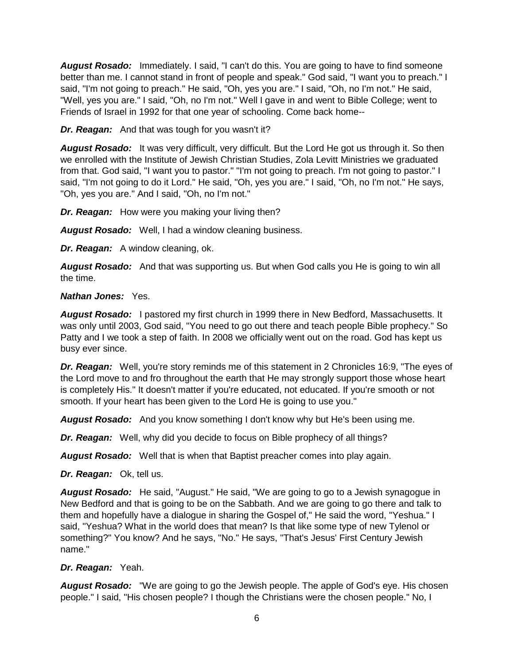*August Rosado:* Immediately. I said, "I can't do this. You are going to have to find someone better than me. I cannot stand in front of people and speak." God said, "I want you to preach." I said, "I'm not going to preach." He said, "Oh, yes you are." I said, "Oh, no I'm not." He said, "Well, yes you are." I said, "Oh, no I'm not." Well I gave in and went to Bible College; went to Friends of Israel in 1992 for that one year of schooling. Come back home--

## *Dr. Reagan:* And that was tough for you wasn't it?

*August Rosado:* It was very difficult, very difficult. But the Lord He got us through it. So then we enrolled with the Institute of Jewish Christian Studies, Zola Levitt Ministries we graduated from that. God said, "I want you to pastor." "I'm not going to preach. I'm not going to pastor." I said, "I'm not going to do it Lord." He said, "Oh, yes you are." I said, "Oh, no I'm not." He says, "Oh, yes you are." And I said, "Oh, no I'm not."

*Dr. Reagan:* How were you making your living then?

*August Rosado:* Well, I had a window cleaning business.

*Dr. Reagan:* A window cleaning, ok.

*August Rosado:* And that was supporting us. But when God calls you He is going to win all the time.

#### *Nathan Jones:* Yes.

*August Rosado:* I pastored my first church in 1999 there in New Bedford, Massachusetts. It was only until 2003, God said, "You need to go out there and teach people Bible prophecy." So Patty and I we took a step of faith. In 2008 we officially went out on the road. God has kept us busy ever since.

*Dr. Reagan:* Well, you're story reminds me of this statement in 2 Chronicles 16:9, "The eyes of the Lord move to and fro throughout the earth that He may strongly support those whose heart is completely His." It doesn't matter if you're educated, not educated. If you're smooth or not smooth. If your heart has been given to the Lord He is going to use you."

*August Rosado:* And you know something I don't know why but He's been using me.

*Dr. Reagan:* Well, why did you decide to focus on Bible prophecy of all things?

*August Rosado:* Well that is when that Baptist preacher comes into play again.

*Dr. Reagan:* Ok, tell us.

*August Rosado:* He said, "August." He said, "We are going to go to a Jewish synagogue in New Bedford and that is going to be on the Sabbath. And we are going to go there and talk to them and hopefully have a dialogue in sharing the Gospel of," He said the word, "Yeshua." I said, "Yeshua? What in the world does that mean? Is that like some type of new Tylenol or something?" You know? And he says, "No." He says, "That's Jesus' First Century Jewish name."

## *Dr. Reagan:* Yeah.

*August Rosado:* "We are going to go the Jewish people. The apple of God's eye. His chosen people." I said, "His chosen people? I though the Christians were the chosen people." No, I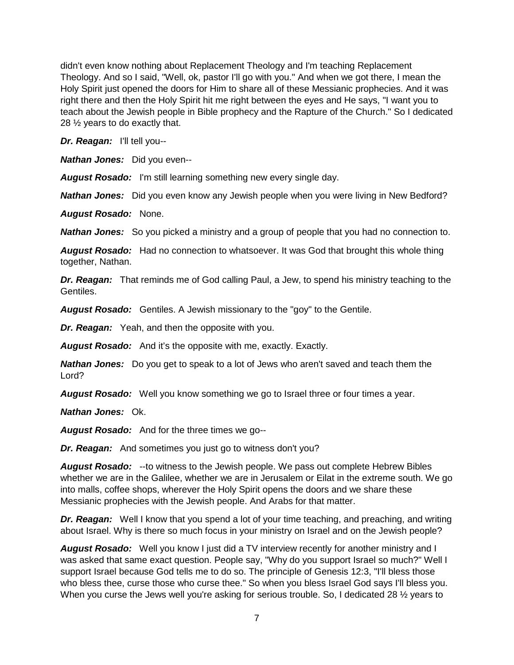didn't even know nothing about Replacement Theology and I'm teaching Replacement Theology. And so I said, "Well, ok, pastor I'll go with you." And when we got there, I mean the Holy Spirit just opened the doors for Him to share all of these Messianic prophecies. And it was right there and then the Holy Spirit hit me right between the eyes and He says, "I want you to teach about the Jewish people in Bible prophecy and the Rapture of the Church." So I dedicated 28 ½ years to do exactly that.

*Dr. Reagan:* I'll tell you--

*Nathan Jones:* Did you even--

*August Rosado:* I'm still learning something new every single day.

*Nathan Jones:* Did you even know any Jewish people when you were living in New Bedford?

*August Rosado:* None.

*Nathan Jones:* So you picked a ministry and a group of people that you had no connection to.

*August Rosado:* Had no connection to whatsoever. It was God that brought this whole thing together, Nathan.

**Dr. Reagan:** That reminds me of God calling Paul, a Jew, to spend his ministry teaching to the Gentiles.

*August Rosado:* Gentiles. A Jewish missionary to the "goy" to the Gentile.

*Dr. Reagan:* Yeah, and then the opposite with you.

*August Rosado:* And it's the opposite with me, exactly. Exactly.

*Nathan Jones:* Do you get to speak to a lot of Jews who aren't saved and teach them the Lord?

*August Rosado:* Well you know something we go to Israel three or four times a year.

*Nathan Jones:* Ok.

*August Rosado:* And for the three times we go--

*Dr. Reagan:* And sometimes you just go to witness don't you?

*August Rosado:* --to witness to the Jewish people. We pass out complete Hebrew Bibles whether we are in the Galilee, whether we are in Jerusalem or Eilat in the extreme south. We go into malls, coffee shops, wherever the Holy Spirit opens the doors and we share these Messianic prophecies with the Jewish people. And Arabs for that matter.

*Dr. Reagan:* Well I know that you spend a lot of your time teaching, and preaching, and writing about Israel. Why is there so much focus in your ministry on Israel and on the Jewish people?

*August Rosado:* Well you know I just did a TV interview recently for another ministry and I was asked that same exact question. People say, "Why do you support Israel so much?" Well I support Israel because God tells me to do so. The principle of Genesis 12:3, "I'll bless those who bless thee, curse those who curse thee." So when you bless Israel God says I'll bless you. When you curse the Jews well you're asking for serious trouble. So, I dedicated 28  $\frac{1}{2}$  years to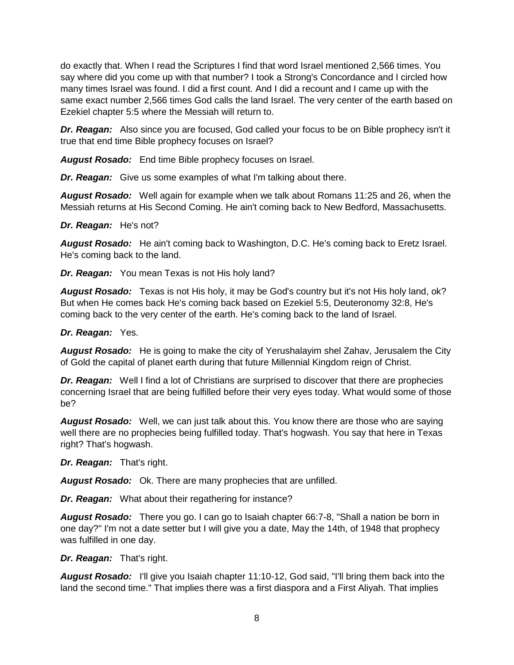do exactly that. When I read the Scriptures I find that word Israel mentioned 2,566 times. You say where did you come up with that number? I took a Strong's Concordance and I circled how many times Israel was found. I did a first count. And I did a recount and I came up with the same exact number 2,566 times God calls the land Israel. The very center of the earth based on Ezekiel chapter 5:5 where the Messiah will return to.

*Dr. Reagan:* Also since you are focused, God called your focus to be on Bible prophecy isn't it true that end time Bible prophecy focuses on Israel?

*August Rosado:* End time Bible prophecy focuses on Israel.

*Dr. Reagan:* Give us some examples of what I'm talking about there.

*August Rosado:* Well again for example when we talk about Romans 11:25 and 26, when the Messiah returns at His Second Coming. He ain't coming back to New Bedford, Massachusetts.

#### *Dr. Reagan:* He's not?

*August Rosado:* He ain't coming back to Washington, D.C. He's coming back to Eretz Israel. He's coming back to the land.

*Dr. Reagan:* You mean Texas is not His holy land?

*August Rosado:* Texas is not His holy, it may be God's country but it's not His holy land, ok? But when He comes back He's coming back based on Ezekiel 5:5, Deuteronomy 32:8, He's coming back to the very center of the earth. He's coming back to the land of Israel.

#### *Dr. Reagan:* Yes.

*August Rosado:* He is going to make the city of Yerushalayim shel Zahav, Jerusalem the City of Gold the capital of planet earth during that future Millennial Kingdom reign of Christ.

*Dr. Reagan:* Well I find a lot of Christians are surprised to discover that there are prophecies concerning Israel that are being fulfilled before their very eyes today. What would some of those be?

*August Rosado:* Well, we can just talk about this. You know there are those who are saying well there are no prophecies being fulfilled today. That's hogwash. You say that here in Texas right? That's hogwash.

*Dr. Reagan:* That's right.

*August Rosado:* Ok. There are many prophecies that are unfilled.

*Dr. Reagan:* What about their regathering for instance?

*August Rosado:* There you go. I can go to Isaiah chapter 66:7-8, "Shall a nation be born in one day?" I'm not a date setter but I will give you a date, May the 14th, of 1948 that prophecy was fulfilled in one day.

*Dr. Reagan:* That's right.

*August Rosado:* I'll give you Isaiah chapter 11:10-12, God said, "I'll bring them back into the land the second time." That implies there was a first diaspora and a First Aliyah. That implies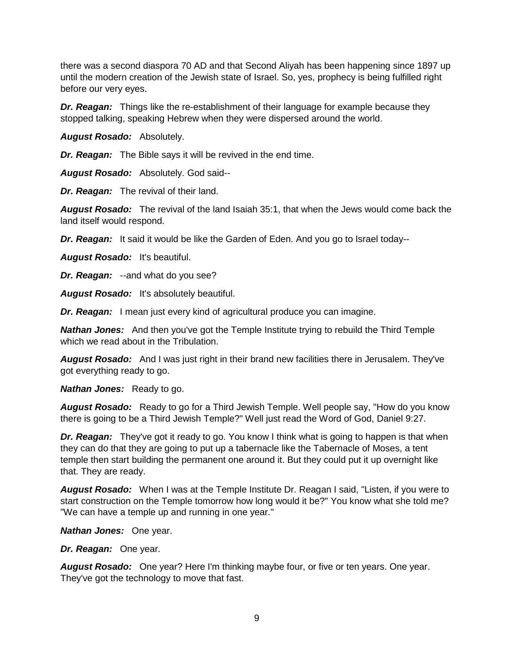there was a second diaspora 70 AD and that Second Aliyah has been happening since 1897 up until the modern creation of the Jewish state of Israel. So, yes, prophecy is being fulfilled right before our very eyes.

*Dr. Reagan:* Things like the re-establishment of their language for example because they stopped talking, speaking Hebrew when they were dispersed around the world.

*August Rosado:* Absolutely.

*Dr. Reagan:* The Bible says it will be revived in the end time.

*August Rosado:* Absolutely. God said--

*Dr. Reagan:* The revival of their land.

*August Rosado:* The revival of the land Isaiah 35:1, that when the Jews would come back the land itself would respond.

*Dr. Reagan:* It said it would be like the Garden of Eden. And you go to Israel today--

*August Rosado:* It's beautiful.

*Dr. Reagan:* --and what do you see?

*August Rosado:* It's absolutely beautiful.

*Dr. Reagan:* I mean just every kind of agricultural produce you can imagine.

*Nathan Jones:* And then you've got the Temple Institute trying to rebuild the Third Temple which we read about in the Tribulation.

*August Rosado:* And I was just right in their brand new facilities there in Jerusalem. They've got everything ready to go.

*Nathan Jones:* Ready to go.

*August Rosado:* Ready to go for a Third Jewish Temple. Well people say, "How do you know there is going to be a Third Jewish Temple?" Well just read the Word of God, Daniel 9:27.

**Dr. Reagan:** They've got it ready to go. You know I think what is going to happen is that when they can do that they are going to put up a tabernacle like the Tabernacle of Moses, a tent temple then start building the permanent one around it. But they could put it up overnight like that. They are ready.

*August Rosado:* When I was at the Temple Institute Dr. Reagan I said, "Listen, if you were to start construction on the Temple tomorrow how long would it be?" You know what she told me? "We can have a temple up and running in one year."

*Nathan Jones:* One year.

*Dr. Reagan:* One year.

*August Rosado:* One year? Here I'm thinking maybe four, or five or ten years. One year. They've got the technology to move that fast.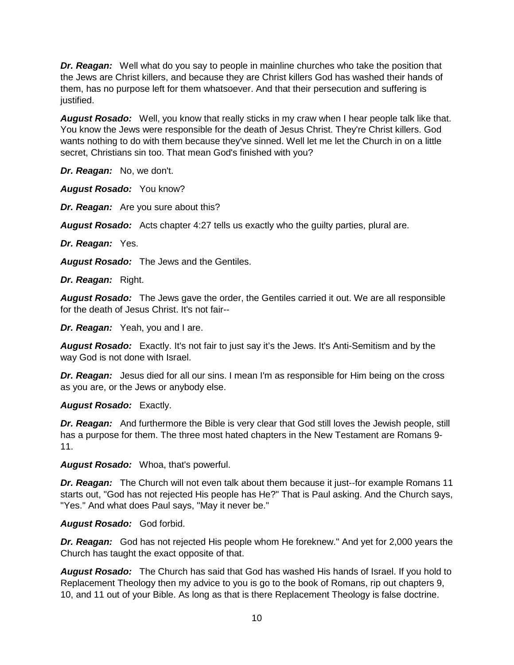*Dr. Reagan:* Well what do you say to people in mainline churches who take the position that the Jews are Christ killers, and because they are Christ killers God has washed their hands of them, has no purpose left for them whatsoever. And that their persecution and suffering is justified.

*August Rosado:* Well, you know that really sticks in my craw when I hear people talk like that. You know the Jews were responsible for the death of Jesus Christ. They're Christ killers. God wants nothing to do with them because they've sinned. Well let me let the Church in on a little secret, Christians sin too. That mean God's finished with you?

*Dr. Reagan:* No, we don't.

*August Rosado:* You know?

*Dr. Reagan:* Are you sure about this?

*August Rosado:* Acts chapter 4:27 tells us exactly who the guilty parties, plural are.

*Dr. Reagan:* Yes.

*August Rosado:* The Jews and the Gentiles.

*Dr. Reagan:* Right.

*August Rosado:* The Jews gave the order, the Gentiles carried it out. We are all responsible for the death of Jesus Christ. It's not fair--

*Dr. Reagan:* Yeah, you and I are.

*August Rosado:* Exactly. It's not fair to just say it's the Jews. It's Anti-Semitism and by the way God is not done with Israel.

*Dr. Reagan:* Jesus died for all our sins. I mean I'm as responsible for Him being on the cross as you are, or the Jews or anybody else.

*August Rosado:* Exactly.

*Dr. Reagan:* And furthermore the Bible is very clear that God still loves the Jewish people, still has a purpose for them. The three most hated chapters in the New Testament are Romans 9- 11.

*August Rosado:* Whoa, that's powerful.

*Dr. Reagan:* The Church will not even talk about them because it just--for example Romans 11 starts out, "God has not rejected His people has He?" That is Paul asking. And the Church says, "Yes." And what does Paul says, "May it never be."

## *August Rosado:* God forbid.

*Dr. Reagan:* God has not rejected His people whom He foreknew." And yet for 2,000 years the Church has taught the exact opposite of that.

*August Rosado:* The Church has said that God has washed His hands of Israel. If you hold to Replacement Theology then my advice to you is go to the book of Romans, rip out chapters 9, 10, and 11 out of your Bible. As long as that is there Replacement Theology is false doctrine.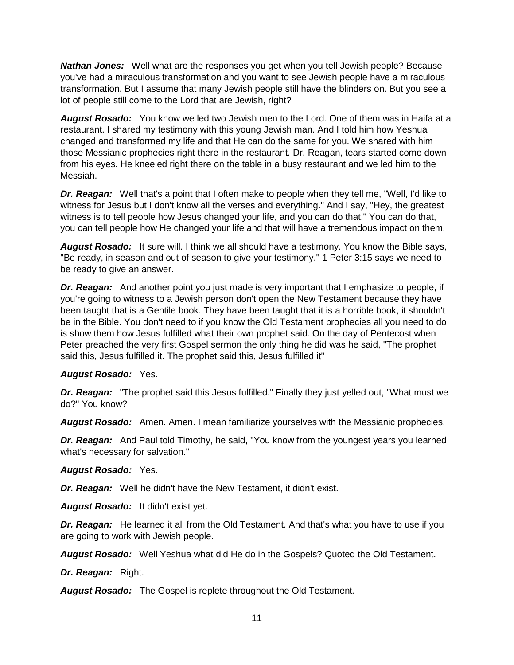*Nathan Jones:* Well what are the responses you get when you tell Jewish people? Because you've had a miraculous transformation and you want to see Jewish people have a miraculous transformation. But I assume that many Jewish people still have the blinders on. But you see a lot of people still come to the Lord that are Jewish, right?

*August Rosado:* You know we led two Jewish men to the Lord. One of them was in Haifa at a restaurant. I shared my testimony with this young Jewish man. And I told him how Yeshua changed and transformed my life and that He can do the same for you. We shared with him those Messianic prophecies right there in the restaurant. Dr. Reagan, tears started come down from his eyes. He kneeled right there on the table in a busy restaurant and we led him to the Messiah.

*Dr. Reagan:* Well that's a point that I often make to people when they tell me, "Well, I'd like to witness for Jesus but I don't know all the verses and everything." And I say, "Hey, the greatest witness is to tell people how Jesus changed your life, and you can do that." You can do that, you can tell people how He changed your life and that will have a tremendous impact on them.

*August Rosado:* It sure will. I think we all should have a testimony. You know the Bible says, "Be ready, in season and out of season to give your testimony." 1 Peter 3:15 says we need to be ready to give an answer.

*Dr. Reagan:* And another point you just made is very important that I emphasize to people, if you're going to witness to a Jewish person don't open the New Testament because they have been taught that is a Gentile book. They have been taught that it is a horrible book, it shouldn't be in the Bible. You don't need to if you know the Old Testament prophecies all you need to do is show them how Jesus fulfilled what their own prophet said. On the day of Pentecost when Peter preached the very first Gospel sermon the only thing he did was he said, "The prophet said this, Jesus fulfilled it. The prophet said this, Jesus fulfilled it"

## *August Rosado:* Yes.

*Dr. Reagan:* "The prophet said this Jesus fulfilled." Finally they just yelled out, "What must we do?" You know?

*August Rosado:* Amen. Amen. I mean familiarize yourselves with the Messianic prophecies.

*Dr. Reagan:* And Paul told Timothy, he said, "You know from the youngest years you learned what's necessary for salvation."

#### *August Rosado:* Yes.

*Dr. Reagan:* Well he didn't have the New Testament, it didn't exist.

*August Rosado:* It didn't exist yet.

*Dr. Reagan:* He learned it all from the Old Testament. And that's what you have to use if you are going to work with Jewish people.

*August Rosado:* Well Yeshua what did He do in the Gospels? Quoted the Old Testament.

*Dr. Reagan:* Right.

*August Rosado:* The Gospel is replete throughout the Old Testament.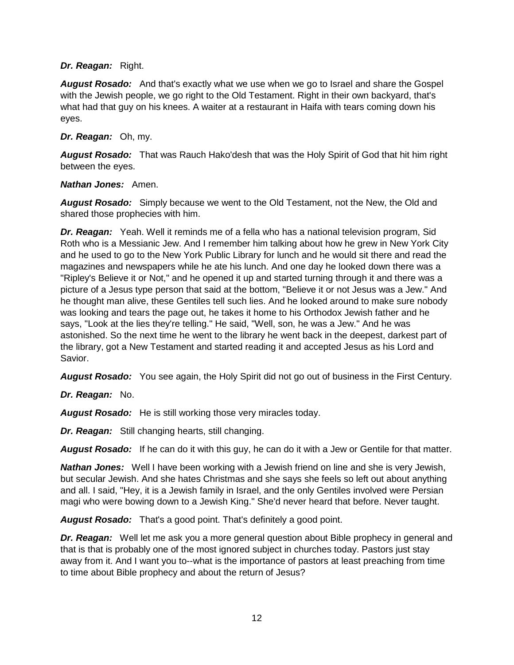## *Dr. Reagan:* Right.

*August Rosado:* And that's exactly what we use when we go to Israel and share the Gospel with the Jewish people, we go right to the Old Testament. Right in their own backyard, that's what had that guy on his knees. A waiter at a restaurant in Haifa with tears coming down his eyes.

## *Dr. Reagan:* Oh, my.

*August Rosado:* That was Rauch Hako'desh that was the Holy Spirit of God that hit him right between the eyes.

#### *Nathan Jones:* Amen.

*August Rosado:* Simply because we went to the Old Testament, not the New, the Old and shared those prophecies with him.

*Dr. Reagan:* Yeah. Well it reminds me of a fella who has a national television program, Sid Roth who is a Messianic Jew. And I remember him talking about how he grew in New York City and he used to go to the New York Public Library for lunch and he would sit there and read the magazines and newspapers while he ate his lunch. And one day he looked down there was a "Ripley's Believe it or Not," and he opened it up and started turning through it and there was a picture of a Jesus type person that said at the bottom, "Believe it or not Jesus was a Jew." And he thought man alive, these Gentiles tell such lies. And he looked around to make sure nobody was looking and tears the page out, he takes it home to his Orthodox Jewish father and he says, "Look at the lies they're telling." He said, "Well, son, he was a Jew." And he was astonished. So the next time he went to the library he went back in the deepest, darkest part of the library, got a New Testament and started reading it and accepted Jesus as his Lord and Savior.

*August Rosado:* You see again, the Holy Spirit did not go out of business in the First Century.

*Dr. Reagan:* No.

*August Rosado:* He is still working those very miracles today.

*Dr. Reagan:* Still changing hearts, still changing.

*August Rosado:* If he can do it with this guy, he can do it with a Jew or Gentile for that matter.

*Nathan Jones:* Well I have been working with a Jewish friend on line and she is very Jewish, but secular Jewish. And she hates Christmas and she says she feels so left out about anything and all. I said, "Hey, it is a Jewish family in Israel, and the only Gentiles involved were Persian magi who were bowing down to a Jewish King." She'd never heard that before. Never taught.

*August Rosado:* That's a good point. That's definitely a good point.

*Dr. Reagan:* Well let me ask you a more general question about Bible prophecy in general and that is that is probably one of the most ignored subject in churches today. Pastors just stay away from it. And I want you to--what is the importance of pastors at least preaching from time to time about Bible prophecy and about the return of Jesus?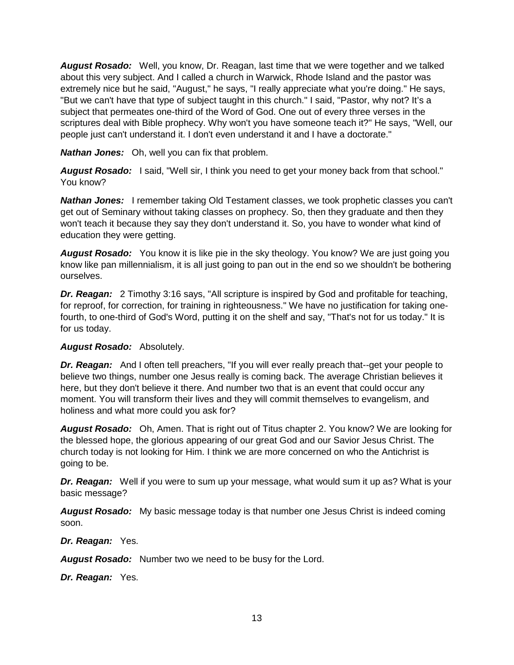*August Rosado:* Well, you know, Dr. Reagan, last time that we were together and we talked about this very subject. And I called a church in Warwick, Rhode Island and the pastor was extremely nice but he said, "August," he says, "I really appreciate what you're doing." He says, "But we can't have that type of subject taught in this church." I said, "Pastor, why not? It's a subject that permeates one-third of the Word of God. One out of every three verses in the scriptures deal with Bible prophecy. Why won't you have someone teach it?" He says, "Well, our people just can't understand it. I don't even understand it and I have a doctorate."

*Nathan Jones:* Oh, well you can fix that problem.

*August Rosado:* I said, "Well sir, I think you need to get your money back from that school." You know?

*Nathan Jones:* I remember taking Old Testament classes, we took prophetic classes you can't get out of Seminary without taking classes on prophecy. So, then they graduate and then they won't teach it because they say they don't understand it. So, you have to wonder what kind of education they were getting.

*August Rosado:* You know it is like pie in the sky theology. You know? We are just going you know like pan millennialism, it is all just going to pan out in the end so we shouldn't be bothering ourselves.

*Dr. Reagan:* 2 Timothy 3:16 says, "All scripture is inspired by God and profitable for teaching, for reproof, for correction, for training in righteousness." We have no justification for taking onefourth, to one-third of God's Word, putting it on the shelf and say, "That's not for us today." It is for us today.

## *August Rosado:* Absolutely.

*Dr. Reagan:* And I often tell preachers, "If you will ever really preach that--get your people to believe two things, number one Jesus really is coming back. The average Christian believes it here, but they don't believe it there. And number two that is an event that could occur any moment. You will transform their lives and they will commit themselves to evangelism, and holiness and what more could you ask for?

*August Rosado:* Oh, Amen. That is right out of Titus chapter 2. You know? We are looking for the blessed hope, the glorious appearing of our great God and our Savior Jesus Christ. The church today is not looking for Him. I think we are more concerned on who the Antichrist is going to be.

*Dr. Reagan:* Well if you were to sum up your message, what would sum it up as? What is your basic message?

*August Rosado:* My basic message today is that number one Jesus Christ is indeed coming soon.

*Dr. Reagan:* Yes.

*August Rosado:* Number two we need to be busy for the Lord.

*Dr. Reagan:* Yes.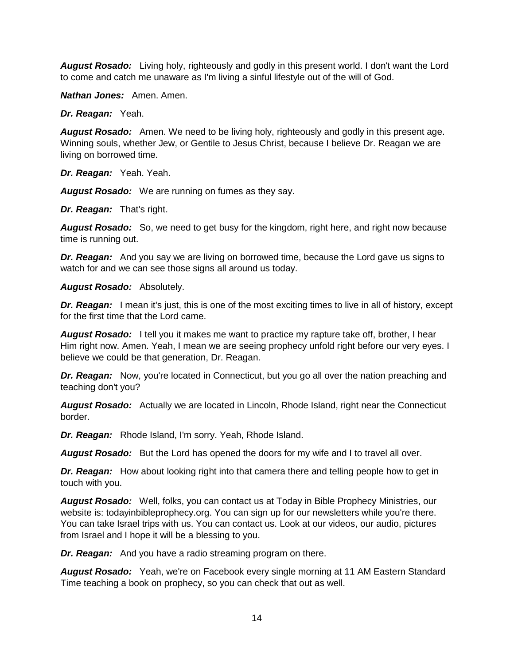*August Rosado:* Living holy, righteously and godly in this present world. I don't want the Lord to come and catch me unaware as I'm living a sinful lifestyle out of the will of God.

*Nathan Jones:* Amen. Amen.

*Dr. Reagan:* Yeah.

*August Rosado:* Amen. We need to be living holy, righteously and godly in this present age. Winning souls, whether Jew, or Gentile to Jesus Christ, because I believe Dr. Reagan we are living on borrowed time.

*Dr. Reagan:* Yeah. Yeah.

*August Rosado:* We are running on fumes as they say.

*Dr. Reagan:* That's right.

*August Rosado:* So, we need to get busy for the kingdom, right here, and right now because time is running out.

*Dr. Reagan:* And you say we are living on borrowed time, because the Lord gave us signs to watch for and we can see those signs all around us today.

*August Rosado:* Absolutely.

**Dr. Reagan:** I mean it's just, this is one of the most exciting times to live in all of history, except for the first time that the Lord came.

*August Rosado:* I tell you it makes me want to practice my rapture take off, brother, I hear Him right now. Amen. Yeah, I mean we are seeing prophecy unfold right before our very eyes. I believe we could be that generation, Dr. Reagan.

**Dr. Reagan:** Now, you're located in Connecticut, but you go all over the nation preaching and teaching don't you?

*August Rosado:* Actually we are located in Lincoln, Rhode Island, right near the Connecticut border.

*Dr. Reagan:* Rhode Island, I'm sorry. Yeah, Rhode Island.

*August Rosado:* But the Lord has opened the doors for my wife and I to travel all over.

**Dr. Reagan:** How about looking right into that camera there and telling people how to get in touch with you.

*August Rosado:* Well, folks, you can contact us at Today in Bible Prophecy Ministries, our website is: todayinbibleprophecy.org. You can sign up for our newsletters while you're there. You can take Israel trips with us. You can contact us. Look at our videos, our audio, pictures from Israel and I hope it will be a blessing to you.

*Dr. Reagan:* And you have a radio streaming program on there.

*August Rosado:* Yeah, we're on Facebook every single morning at 11 AM Eastern Standard Time teaching a book on prophecy, so you can check that out as well.